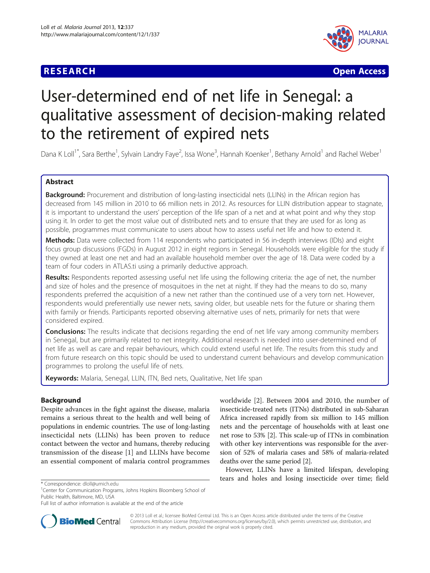## **RESEARCH CHE CHE Open Access**



# User-determined end of net life in Senegal: a qualitative assessment of decision-making related to the retirement of expired nets

Dana K Loll<sup>1\*</sup>, Sara Berthe<sup>1</sup>, Sylvain Landry Faye<sup>2</sup>, Issa Wone<sup>3</sup>, Hannah Koenker<sup>1</sup>, Bethany Arnold<sup>1</sup> and Rachel Weber<sup>1</sup>

## Abstract

Background: Procurement and distribution of long-lasting insecticidal nets (LLINs) in the African region has decreased from 145 million in 2010 to 66 million nets in 2012. As resources for LLIN distribution appear to stagnate, it is important to understand the users' perception of the life span of a net and at what point and why they stop using it. In order to get the most value out of distributed nets and to ensure that they are used for as long as possible, programmes must communicate to users about how to assess useful net life and how to extend it.

Methods: Data were collected from 114 respondents who participated in 56 in-depth interviews (IDIs) and eight focus group discussions (FGDs) in August 2012 in eight regions in Senegal. Households were eligible for the study if they owned at least one net and had an available household member over the age of 18. Data were coded by a team of four coders in ATLAS.ti using a primarily deductive approach.

Results: Respondents reported assessing useful net life using the following criteria: the age of net, the number and size of holes and the presence of mosquitoes in the net at night. If they had the means to do so, many respondents preferred the acquisition of a new net rather than the continued use of a very torn net. However, respondents would preferentially use newer nets, saving older, but useable nets for the future or sharing them with family or friends. Participants reported observing alternative uses of nets, primarily for nets that were considered expired.

**Conclusions:** The results indicate that decisions regarding the end of net life vary among community members in Senegal, but are primarily related to net integrity. Additional research is needed into user-determined end of net life as well as care and repair behaviours, which could extend useful net life. The results from this study and from future research on this topic should be used to understand current behaviours and develop communication programmes to prolong the useful life of nets.

Keywords: Malaria, Senegal, LLIN, ITN, Bed nets, Qualitative, Net life span

## Background

Despite advances in the fight against the disease, malaria remains a serious threat to the health and well being of populations in endemic countries. The use of long-lasting insecticidal nets (LLINs) has been proven to reduce contact between the vector and humans, thereby reducing transmission of the disease [[1\]](#page-7-0) and LLINs have become an essential component of malaria control programmes



However, LLINs have a limited lifespan, developing  $\frac{1}{2}$  tears and holes and losing insecticide over time; field  $\frac{1}{2}$  fears and holes and losing insecticide over time; field



© 2013 Loll et al.; licensee BioMed Central Ltd. This is an Open Access article distributed under the terms of the Creative Commons Attribution License [\(http://creativecommons.org/licenses/by/2.0\)](http://creativecommons.org/licenses/by/2.0), which permits unrestricted use, distribution, and reproduction in any medium, provided the original work is properly cited.

<sup>&</sup>lt;sup>1</sup>Center for Communication Programs, Johns Hopkins Bloomberg School of Public Health, Baltimore, MD, USA

Full list of author information is available at the end of the article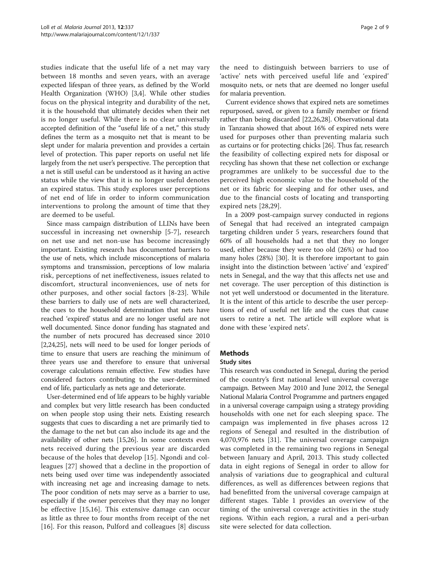studies indicate that the useful life of a net may vary between 18 months and seven years, with an average expected lifespan of three years, as defined by the World Health Organization (WHO) [\[3,4](#page-7-0)]. While other studies focus on the physical integrity and durability of the net, it is the household that ultimately decides when their net is no longer useful. While there is no clear universally accepted definition of the "useful life of a net," this study defines the term as a mosquito net that is meant to be slept under for malaria prevention and provides a certain level of protection. This paper reports on useful net life largely from the net user's perspective. The perception that a net is still useful can be understood as it having an active status while the view that it is no longer useful denotes an expired status. This study explores user perceptions of net end of life in order to inform communication interventions to prolong the amount of time that they are deemed to be useful.

Since mass campaign distribution of LLINs have been successful in increasing net ownership [[5-7\]](#page-7-0), research on net use and net non-use has become increasingly important. Existing research has documented barriers to the use of nets, which include misconceptions of malaria symptoms and transmission, perceptions of low malaria risk, perceptions of net ineffectiveness, issues related to discomfort, structural inconveniences, use of nets for other purposes, and other social factors [[8-](#page-7-0)[23\]](#page-8-0). While these barriers to daily use of nets are well characterized, the cues to the household determination that nets have reached 'expired' status and are no longer useful are not well documented. Since donor funding has stagnated and the number of nets procured has decreased since 2010 [[2,](#page-7-0)[24,25\]](#page-8-0), nets will need to be used for longer periods of time to ensure that users are reaching the minimum of three years use and therefore to ensure that universal coverage calculations remain effective. Few studies have considered factors contributing to the user-determined end of life, particularly as nets age and deteriorate.

User-determined end of life appears to be highly variable and complex but very little research has been conducted on when people stop using their nets. Existing research suggests that cues to discarding a net are primarily tied to the damage to the net but can also include its age and the availability of other nets [[15](#page-7-0)[,26](#page-8-0)]. In some contexts even nets received during the previous year are discarded because of the holes that develop [[15](#page-7-0)]. Ngondi and colleagues [[27\]](#page-8-0) showed that a decline in the proportion of nets being used over time was independently associated with increasing net age and increasing damage to nets. The poor condition of nets may serve as a barrier to use, especially if the owner perceives that they may no longer be effective [\[15](#page-7-0),[16\]](#page-7-0). This extensive damage can occur as little as three to four months from receipt of the net [[16\]](#page-7-0). For this reason, Pulford and colleagues [[8\]](#page-7-0) discuss

the need to distinguish between barriers to use of 'active' nets with perceived useful life and 'expired' mosquito nets, or nets that are deemed no longer useful for malaria prevention.

Current evidence shows that expired nets are sometimes repurposed, saved, or given to a family member or friend rather than being discarded [[22,26,28\]](#page-8-0). Observational data in Tanzania showed that about 16% of expired nets were used for purposes other than preventing malaria such as curtains or for protecting chicks [[26](#page-8-0)]. Thus far, research the feasibility of collecting expired nets for disposal or recycling has shown that these net collection or exchange programmes are unlikely to be successful due to the perceived high economic value to the household of the net or its fabric for sleeping and for other uses, and due to the financial costs of locating and transporting expired nets [\[28,29](#page-8-0)].

In a 2009 post-campaign survey conducted in regions of Senegal that had received an integrated campaign targeting children under 5 years, researchers found that 60% of all households had a net that they no longer used, either because they were too old (26%) or had too many holes (28%) [\[30](#page-8-0)]. It is therefore important to gain insight into the distinction between 'active' and 'expired' nets in Senegal, and the way that this affects net use and net coverage. The user perception of this distinction is not yet well understood or documented in the literature. It is the intent of this article to describe the user perceptions of end of useful net life and the cues that cause users to retire a net. The article will explore what is done with these 'expired nets'.

## **Methods**

#### Study sites

This research was conducted in Senegal, during the period of the country's first national level universal coverage campaign. Between May 2010 and June 2012, the Senegal National Malaria Control Programme and partners engaged in a universal coverage campaign using a strategy providing households with one net for each sleeping space. The campaign was implemented in five phases across 12 regions of Senegal and resulted in the distribution of 4,070,976 nets [\[31](#page-8-0)]. The universal coverage campaign was completed in the remaining two regions in Senegal between January and April, 2013. This study collected data in eight regions of Senegal in order to allow for analysis of variations due to geographical and cultural differences, as well as differences between regions that had benefitted from the universal coverage campaign at different stages. Table [1](#page-2-0) provides an overview of the timing of the universal coverage activities in the study regions. Within each region, a rural and a peri-urban site were selected for data collection.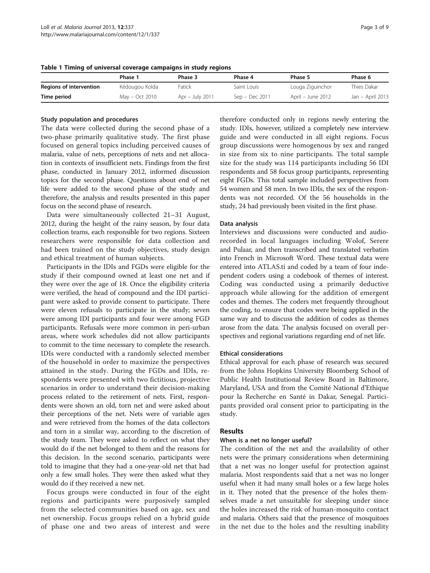|                         | Phase 1        | Phase 3         | Phase 4        | Phase 5           | Phase 6          |
|-------------------------|----------------|-----------------|----------------|-------------------|------------------|
| Regions of intervention | Kédougou Kolda | Fatick          | Saint Louis    | Louga Ziguinchor  | Thies Dakar      |
| Time period             | May - Oct 2010 | Apr - July 2011 | Sep – Dec 2011 | April – June 2012 | Jan - April 2013 |

<span id="page-2-0"></span>Table 1 Timing of universal coverage campaigns in study regions

#### Study population and procedures

The data were collected during the second phase of a two-phase primarily qualitative study. The first phase focused on general topics including perceived causes of malaria, value of nets, perceptions of nets and net allocation in contexts of insufficient nets. Findings from the first phase, conducted in January 2012, informed discussion topics for the second phase. Questions about end of net life were added to the second phase of the study and therefore, the analysis and results presented in this paper focus on the second phase of research.

Data were simultaneously collected 21–31 August, 2012, during the height of the rainy season, by four data collection teams, each responsible for two regions. Sixteen researchers were responsible for data collection and had been trained on the study objectives, study design and ethical treatment of human subjects.

Participants in the IDIs and FGDs were eligible for the study if their compound owned at least one net and if they were over the age of 18. Once the eligibility criteria were verified, the head of compound and the IDI participant were asked to provide consent to participate. There were eleven refusals to participate in the study; seven were among IDI participants and four were among FGD participants. Refusals were more common in peri-urban areas, where work schedules did not allow participants to commit to the time necessary to complete the research. IDIs were conducted with a randomly selected member of the household in order to maximize the perspectives attained in the study. During the FGDs and IDIs, respondents were presented with two fictitious, projective scenarios in order to understand their decision-making process related to the retirement of nets. First, respondents were shown an old, torn net and were asked about their perceptions of the net. Nets were of variable ages and were retrieved from the homes of the data collectors and torn in a similar way, according to the discretion of the study team. They were asked to reflect on what they would do if the net belonged to them and the reasons for this decision. In the second scenario, participants were told to imagine that they had a one-year-old net that had only a few small holes. They were then asked what they would do if they received a new net.

Focus groups were conducted in four of the eight regions and participants were purposively sampled from the selected communities based on age, sex and net ownership. Focus groups relied on a hybrid guide of phase one and two areas of interest and were therefore conducted only in regions newly entering the study. IDIs, however, utilized a completely new interview guide and were conducted in all eight regions. Focus group discussions were homogenous by sex and ranged in size from six to nine participants. The total sample size for the study was 114 participants including 56 IDI respondents and 58 focus group participants, representing eight FGDs. This total sample included perspectives from 54 women and 58 men. In two IDIs, the sex of the respondents was not recorded. Of the 56 households in the study, 24 had previously been visited in the first phase.

#### Data analysis

Interviews and discussions were conducted and audiorecorded in local languages including Wolof, Serere and Pulaar, and then transcribed and translated verbatim into French in Microsoft Word. These textual data were entered into ATLAS.ti and coded by a team of four independent coders using a codebook of themes of interest. Coding was conducted using a primarily deductive approach while allowing for the addition of emergent codes and themes. The coders met frequently throughout the coding, to ensure that codes were being applied in the same way and to discuss the addition of codes as themes arose from the data. The analysis focused on overall perspectives and regional variations regarding end of net life.

#### Ethical considerations

Ethical approval for each phase of research was secured from the Johns Hopkins University Bloomberg School of Public Health Institutional Review Board in Baltimore, Maryland, USA and from the Comité National d'Ethique pour la Recherche en Santé in Dakar, Senegal. Participants provided oral consent prior to participating in the study.

## Results

#### When is a net no longer useful?

The condition of the net and the availability of other nets were the primary considerations when determining that a net was no longer useful for protection against malaria. Most respondents said that a net was no longer useful when it had many small holes or a few large holes in it. They noted that the presence of the holes themselves made a net unsuitable for sleeping under since the holes increased the risk of human-mosquito contact and malaria. Others said that the presence of mosquitoes in the net due to the holes and the resulting inability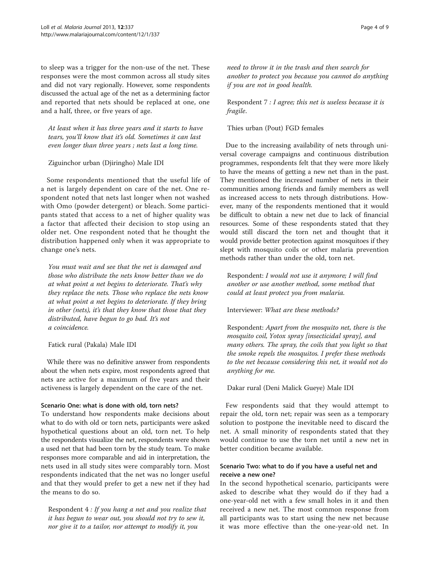to sleep was a trigger for the non-use of the net. These responses were the most common across all study sites and did not vary regionally. However, some respondents discussed the actual age of the net as a determining factor and reported that nets should be replaced at one, one and a half, three, or five years of age.

At least when it has three years and it starts to have tears, you'll know that it's old. Sometimes it can last even longer than three years ; nets last a long time.

#### Ziguinchor urban (Djiringho) Male IDI

Some respondents mentioned that the useful life of a net is largely dependent on care of the net. One respondent noted that nets last longer when not washed with Omo (powder detergent) or bleach. Some participants stated that access to a net of higher quality was a factor that affected their decision to stop using an older net. One respondent noted that he thought the distribution happened only when it was appropriate to change one's nets.

You must wait and see that the net is damaged and those who distribute the nets know better than we do at what point a net begins to deteriorate. That's why they replace the nets. Those who replace the nets know at what point a net begins to deteriorate. If they bring in other (nets), it's that they know that those that they distributed, have begun to go bad. It's not a coincidence.

#### Fatick rural (Pakala) Male IDI

While there was no definitive answer from respondents about the when nets expire, most respondents agreed that nets are active for a maximum of five years and their activeness is largely dependent on the care of the net.

## Scenario One: what is done with old, torn nets?

To understand how respondents make decisions about what to do with old or torn nets, participants were asked hypothetical questions about an old, torn net. To help the respondents visualize the net, respondents were shown a used net that had been torn by the study team. To make responses more comparable and aid in interpretation, the nets used in all study sites were comparably torn. Most respondents indicated that the net was no longer useful and that they would prefer to get a new net if they had the means to do so.

Respondent 4 : If you hang a net and you realize that it has begun to wear out, you should not try to sew it, nor give it to a tailor, nor attempt to modify it, you

need to throw it in the trash and then search for another to protect you because you cannot do anything if you are not in good health.

## Respondent 7 : I agree; this net is useless because it is fragile.

## Thies urban (Pout) FGD females

Due to the increasing availability of nets through universal coverage campaigns and continuous distribution programmes, respondents felt that they were more likely to have the means of getting a new net than in the past. They mentioned the increased number of nets in their communities among friends and family members as well as increased access to nets through distributions. However, many of the respondents mentioned that it would be difficult to obtain a new net due to lack of financial resources. Some of these respondents stated that they would still discard the torn net and thought that it would provide better protection against mosquitoes if they slept with mosquito coils or other malaria prevention methods rather than under the old, torn net.

Respondent: I would not use it anymore; I will find another or use another method, some method that could at least protect you from malaria.

Interviewer: What are these methods?

Respondent: Apart from the mosquito net, there is the mosquito coil, Yotox spray [insecticidal spray], and many others. The spray, the coils that you light so that the smoke repels the mosquitos. I prefer these methods to the net because considering this net, it would not do anything for me.

Dakar rural (Deni Malick Gueye) Male IDI

Few respondents said that they would attempt to repair the old, torn net; repair was seen as a temporary solution to postpone the inevitable need to discard the net. A small minority of respondents stated that they would continue to use the torn net until a new net in better condition became available.

## Scenario Two: what to do if you have a useful net and receive a new one?

In the second hypothetical scenario, participants were asked to describe what they would do if they had a one-year-old net with a few small holes in it and then received a new net. The most common response from all participants was to start using the new net because it was more effective than the one-year-old net. In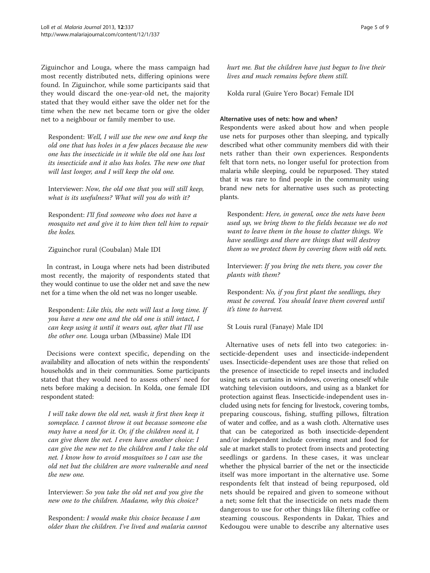Ziguinchor and Louga, where the mass campaign had most recently distributed nets, differing opinions were found. In Ziguinchor, while some participants said that they would discard the one-year-old net, the majority stated that they would either save the older net for the time when the new net became torn or give the older net to a neighbour or family member to use.

Respondent: Well, I will use the new one and keep the old one that has holes in a few places because the new one has the insecticide in it while the old one has lost its insecticide and it also has holes. The new one that will last longer, and I will keep the old one.

Interviewer: Now, the old one that you will still keep, what is its usefulness? What will you do with it?

Respondent: I'll find someone who does not have a mosquito net and give it to him then tell him to repair the holes.

Ziguinchor rural (Coubalan) Male IDI

In contrast, in Louga where nets had been distributed most recently, the majority of respondents stated that they would continue to use the older net and save the new net for a time when the old net was no longer useable.

Respondent: Like this, the nets will last a long time. If you have a new one and the old one is still intact, I can keep using it until it wears out, after that I'll use the other one. Louga urban (Mbassine) Male IDI

Decisions were context specific, depending on the availability and allocation of nets within the respondents' households and in their communities. Some participants stated that they would need to assess others' need for nets before making a decision. In Kolda, one female IDI respondent stated:

I will take down the old net, wash it first then keep it someplace. I cannot throw it out because someone else may have a need for it. Or, if the children need it, I can give them the net. I even have another choice: I can give the new net to the children and I take the old net. I know how to avoid mosquitoes so I can use the old net but the children are more vulnerable and need the new one.

Interviewer: So you take the old net and you give the new one to the children. Madame, why this choice?

Respondent: I would make this choice because I am older than the children. I've lived and malaria cannot hurt me. But the children have just begun to live their lives and much remains before them still.

Kolda rural (Guire Yero Bocar) Female IDI

#### Alternative uses of nets: how and when?

Respondents were asked about how and when people use nets for purposes other than sleeping, and typically described what other community members did with their nets rather than their own experiences. Respondents felt that torn nets, no longer useful for protection from malaria while sleeping, could be repurposed. They stated that it was rare to find people in the community using brand new nets for alternative uses such as protecting plants.

Respondent: Here, in general, once the nets have been used up, we bring them to the fields because we do not want to leave them in the house to clutter things. We have seedlings and there are things that will destroy them so we protect them by covering them with old nets.

Interviewer: If you bring the nets there, you cover the plants with them?

Respondent: No, if you first plant the seedlings, they must be covered. You should leave them covered until it's time to harvest.

St Louis rural (Fanaye) Male IDI

Alternative uses of nets fell into two categories: insecticide-dependent uses and insecticide-independent uses. Insecticide-dependent uses are those that relied on the presence of insecticide to repel insects and included using nets as curtains in windows, covering oneself while watching television outdoors, and using as a blanket for protection against fleas. Insecticide-independent uses included using nets for fencing for livestock, covering tombs, preparing couscous, fishing, stuffing pillows, filtration of water and coffee, and as a wash cloth. Alternative uses that can be categorized as both insecticide-dependent and/or independent include covering meat and food for sale at market stalls to protect from insects and protecting seedlings or gardens. In these cases, it was unclear whether the physical barrier of the net or the insecticide itself was more important in the alternative use. Some respondents felt that instead of being repurposed, old nets should be repaired and given to someone without a net; some felt that the insecticide on nets made them dangerous to use for other things like filtering coffee or steaming couscous. Respondents in Dakar, Thies and Kedougou were unable to describe any alternative uses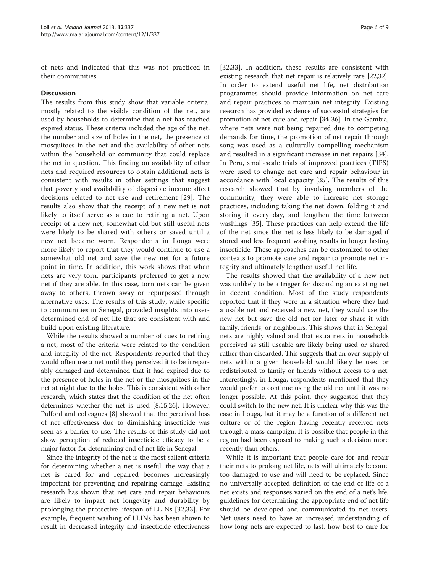of nets and indicated that this was not practiced in their communities.

#### **Discussion**

The results from this study show that variable criteria, mostly related to the visible condition of the net, are used by households to determine that a net has reached expired status. These criteria included the age of the net, the number and size of holes in the net, the presence of mosquitoes in the net and the availability of other nets within the household or community that could replace the net in question. This finding on availability of other nets and required resources to obtain additional nets is consistent with results in other settings that suggest that poverty and availability of disposible income affect decisions related to net use and retirement [[29](#page-8-0)]. The results also show that the receipt of a new net is not likely to itself serve as a cue to retiring a net. Upon receipt of a new net, somewhat old but still useful nets were likely to be shared with others or saved until a new net became worn. Respondents in Louga were more likely to report that they would continue to use a somewhat old net and save the new net for a future point in time. In addition, this work shows that when nets are very torn, participants preferred to get a new net if they are able. In this case, torn nets can be given away to others, thrown away or repurposed through alternative uses. The results of this study, while specific to communities in Senegal, provided insights into userdetermined end of net life that are consistent with and build upon existing literature.

While the results showed a number of cues to retiring a net, most of the criteria were related to the condition and integrity of the net. Respondents reported that they would often use a net until they perceived it to be irreparably damaged and determined that it had expired due to the presence of holes in the net or the mosquitoes in the net at night due to the holes. This is consistent with other research, which states that the condition of the net often determines whether the net is used [\[8,15,](#page-7-0)[26](#page-8-0)]. However, Pulford and colleagues [[8\]](#page-7-0) showed that the perceived loss of net effectiveness due to diminishing insecticide was seen as a barrier to use. The results of this study did not show perception of reduced insecticide efficacy to be a major factor for determining end of net life in Senegal.

Since the integrity of the net is the most salient criteria for determining whether a net is useful, the way that a net is cared for and repaired becomes increasingly important for preventing and repairing damage. Existing research has shown that net care and repair behaviours are likely to impact net longevity and durability by prolonging the protective lifespan of LLINs [\[32](#page-8-0),[33\]](#page-8-0). For example, frequent washing of LLINs has been shown to result in decreased integrity and insecticide effectiveness

[[32,33](#page-8-0)]. In addition, these results are consistent with existing research that net repair is relatively rare [\[22,32](#page-8-0)]. In order to extend useful net life, net distribution programmes should provide information on net care and repair practices to maintain net integrity. Existing research has provided evidence of successful strategies for promotion of net care and repair [[34-36\]](#page-8-0). In the Gambia, where nets were not being repaired due to competing demands for time, the promotion of net repair through song was used as a culturally compelling mechanism and resulted in a significant increase in net repairs [[34](#page-8-0)]. In Peru, small-scale trials of improved practices (TIPS) were used to change net care and repair behaviour in accordance with local capacity [[35](#page-8-0)]. The results of this research showed that by involving members of the community, they were able to increase net storage practices, including taking the net down, folding it and storing it every day, and lengthen the time between washings [\[35](#page-8-0)]. These practices can help extend the life of the net since the net is less likely to be damaged if stored and less frequent washing results in longer lasting insecticide. These approaches can be customized to other contexts to promote care and repair to promote net integrity and ultimately lengthen useful net life.

The results showed that the availability of a new net was unlikely to be a trigger for discarding an existing net in decent condition. Most of the study respondents reported that if they were in a situation where they had a usable net and received a new net, they would use the new net but save the old net for later or share it with family, friends, or neighbours. This shows that in Senegal, nets are highly valued and that extra nets in households perceived as still useable are likely being used or shared rather than discarded. This suggests that an over-supply of nets within a given household would likely be used or redistributed to family or friends without access to a net. Interestingly, in Louga, respondents mentioned that they would prefer to continue using the old net until it was no longer possible. At this point, they suggested that they could switch to the new net. It is unclear why this was the case in Louga, but it may be a function of a different net culture or of the region having recently received nets through a mass campaign. It is possible that people in this region had been exposed to making such a decision more recently than others.

While it is important that people care for and repair their nets to prolong net life, nets will ultimately become too damaged to use and will need to be replaced. Since no universally accepted definition of the end of life of a net exists and responses varied on the end of a net's life, guidelines for determining the appropriate end of net life should be developed and communicated to net users. Net users need to have an increased understanding of how long nets are expected to last, how best to care for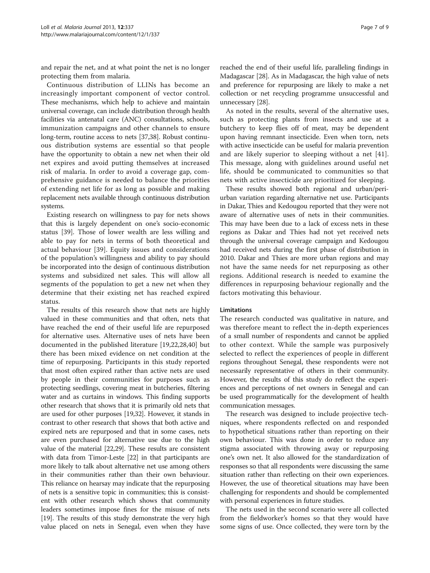and repair the net, and at what point the net is no longer protecting them from malaria.

Continuous distribution of LLINs has become an increasingly important component of vector control. These mechanisms, which help to achieve and maintain universal coverage, can include distribution through health facilities via antenatal care (ANC) consultations, schools, immunization campaigns and other channels to ensure long-term, routine access to nets [[37,38\]](#page-8-0). Robust continuous distribution systems are essential so that people have the opportunity to obtain a new net when their old net expires and avoid putting themselves at increased risk of malaria. In order to avoid a coverage gap, comprehensive guidance is needed to balance the priorities of extending net life for as long as possible and making replacement nets available through continuous distribution systems.

Existing research on willingness to pay for nets shows that this is largely dependent on one's socio-economic status [[39\]](#page-8-0). Those of lower wealth are less willing and able to pay for nets in terms of both theoretical and actual behaviour [\[39](#page-8-0)]. Equity issues and considerations of the population's willingness and ability to pay should be incorporated into the design of continuous distribution systems and subsidized net sales. This will allow all segments of the population to get a new net when they determine that their existing net has reached expired status.

The results of this research show that nets are highly valued in these communities and that often, nets that have reached the end of their useful life are repurposed for alternative uses. Alternative uses of nets have been documented in the published literature [[19,22,28,40](#page-8-0)] but there has been mixed evidence on net condition at the time of repurposing. Participants in this study reported that most often expired rather than active nets are used by people in their communities for purposes such as protecting seedlings, covering meat in butcheries, filtering water and as curtains in windows. This finding supports other research that shows that it is primarily old nets that are used for other purposes [\[19,32](#page-8-0)]. However, it stands in contrast to other research that shows that both active and expired nets are repurposed and that in some cases, nets are even purchased for alternative use due to the high value of the material [\[22,29\]](#page-8-0). These results are consistent with data from Timor-Leste [\[22\]](#page-8-0) in that participants are more likely to talk about alternative net use among others in their communities rather than their own behaviour. This reliance on hearsay may indicate that the repurposing of nets is a sensitive topic in communities; this is consistent with other research which shows that community leaders sometimes impose fines for the misuse of nets [[19](#page-8-0)]. The results of this study demonstrate the very high value placed on nets in Senegal, even when they have

reached the end of their useful life, paralleling findings in Madagascar [\[28\]](#page-8-0). As in Madagascar, the high value of nets and preference for repurposing are likely to make a net collection or net recycling programme unsuccessful and unnecessary [[28](#page-8-0)].

As noted in the results, several of the alternative uses, such as protecting plants from insects and use at a butchery to keep flies off of meat, may be dependent upon having remnant insecticide. Even when torn, nets with active insecticide can be useful for malaria prevention and are likely superior to sleeping without a net [\[41](#page-8-0)]. This message, along with guidelines around useful net life, should be communicated to communities so that nets with active insecticide are prioritized for sleeping.

These results showed both regional and urban/periurban variation regarding alternative net use. Participants in Dakar, Thies and Kedougou reported that they were not aware of alternative uses of nets in their communities. This may have been due to a lack of excess nets in these regions as Dakar and Thies had not yet received nets through the universal coverage campaign and Kedougou had received nets during the first phase of distribution in 2010. Dakar and Thies are more urban regions and may not have the same needs for net repurposing as other regions. Additional research is needed to examine the differences in repurposing behaviour regionally and the factors motivating this behaviour.

#### Limitations

The research conducted was qualitative in nature, and was therefore meant to reflect the in-depth experiences of a small number of respondents and cannot be applied to other context. While the sample was purposively selected to reflect the experiences of people in different regions throughout Senegal, these respondents were not necessarily representative of others in their community. However, the results of this study do reflect the experiences and perceptions of net owners in Senegal and can be used programmatically for the development of health communication messages.

The research was designed to include projective techniques, where respondents reflected on and responded to hypothetical situations rather than reporting on their own behaviour. This was done in order to reduce any stigma associated with throwing away or repurposing one's own net. It also allowed for the standardization of responses so that all respondents were discussing the same situation rather than reflecting on their own experiences. However, the use of theoretical situations may have been challenging for respondents and should be complemented with personal experiences in future studies.

The nets used in the second scenario were all collected from the fieldworker's homes so that they would have some signs of use. Once collected, they were torn by the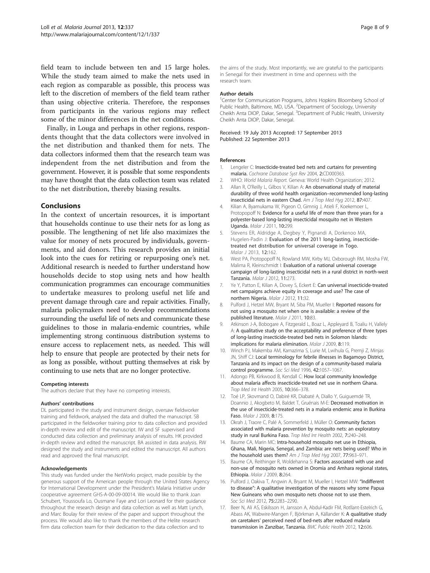<span id="page-7-0"></span>field team to include between ten and 15 large holes. While the study team aimed to make the nets used in each region as comparable as possible, this process was left to the discretion of members of the field team rather than using objective criteria. Therefore, the responses from participants in the various regions may reflect some of the minor differences in the net conditions.

Finally, in Louga and perhaps in other regions, respondents thought that the data collectors were involved in the net distribution and thanked them for nets. The data collectors informed them that the research team was independent from the net distribution and from the government. However, it is possible that some respondents may have thought that the data collection team was related to the net distribution, thereby biasing results.

#### Conclusions

In the context of uncertain resources, it is important that households continue to use their nets for as long as possible. The lengthening of net life also maximizes the value for money of nets procured by individuals, governments, and aid donors. This research provides an initial look into the cues for retiring or repurposing one's net. Additional research is needed to further understand how households decide to stop using nets and how health communication programmes can encourage communities to undertake measures to prolong useful net life and prevent damage through care and repair activities. Finally, malaria policymakers need to develop recommendations surrounding the useful life of nets and communicate these guidelines to those in malaria-endemic countries, while implementing strong continuous distribution systems to ensure access to replacement nets, as needed. This will help to ensure that people are protected by their nets for as long as possible, without putting themselves at risk by continuing to use nets that are no longer protective.

#### Competing interests

The authors declare that they have no competing interests.

#### Authors' contributions

DL participated in the study and instrument design, oversaw fieldworker training and fieldwork, analysed the data and drafted the manuscript. SB participated in the fieldworker training prior to data collection and provided in-depth review and edit of the manuscript. IW and SF supervised and conducted data collection and preliminary analysis of results. HK provided in-depth review and edited the manuscript. BA assisted in data analysis. RW designed the study and instruments and edited the manuscript. All authors read and approved the final manuscript.

#### Acknowledgements

This study was funded under the NetWorks project, made possible by the generous support of the American people through the United States Agency for International Development under the President's Malaria Initiative under cooperative agreement GHS-A-00-09-00014. We would like to thank Joan Schubert, Youssoufa Lo, Ousmane Faye and Lori Leonard for their guidance throughout the research design and data collection as well as Matt Lynch, and Marc Boulay for their review of the paper and support throughout the process. We would also like to thank the members of the Helite research firm data collection team for their dedication to the data collection and to

the aims of the study. Most importantly, we are grateful to the participants in Senegal for their investment in time and openness with the research team.

#### Author details

<sup>1</sup> Center for Communication Programs, Johns Hopkins Bloomberg School of Public Health, Baltimore, MD, USA. <sup>2</sup>Department of Sociology, University Cheikh Anta DIOP, Dakar, Senegal. <sup>3</sup>Department of Public Health, University Cheikh Anta DIOP, Dakar, Senegal.

#### Received: 19 July 2013 Accepted: 17 September 2013 Published: 22 September 2013

#### References

- 1. Lengeler C: Insecticide-treated bed nets and curtains for preventing malaria. Cochrane Database Syst Rev 2004, 2:CD000363.
- 2. WHO: World Malaria Report. Geneva: World Health Organization; 2012.
- 3. Allan R, O'Reilly L, Gilbos V, Kilian A: An observational study of material durability of three world health organization–recommended long-lasting insecticidal nets in eastern Chad. Am J Trop Med Hyg 2012, 87:407.
- 4. Kilian A, Byamukama W, Pigeon O, Gimnig J, Atieli F, Koekemoer L, Protopopoff N: Evidence for a useful life of more than three years for a polyester-based long-lasting insecticidal mosquito net in Western Uganda. Malar J 2011, 10:299.
- 5. Stevens ER, Aldridge A, Degbey Y, Pignandi A, Dorkenoo MA, Hugelen-Padin J: Evaluation of the 2011 long-lasting, insecticidetreated net distribution for universal coverage in Togo. Malar J 2013, 12:162.
- 6. West PA, Protopopoff N, Rowland MW, Kirby MJ, Oxborough RM, Mosha FW, Malima R, Kleinschmidt I: Evaluation of a national universal coverage campaign of long-lasting insecticidal nets in a rural district in north-west Tanzania. Malar J 2012, 11:273.
- 7. Ye Y, Patton E, Kilian A, Dovey S, Eckert E: Can universal insecticide-treated net campaigns achieve equity in coverage and use? The case of northern Nigeria. Malar J 2012, 11:32.
- 8. Pulford J, Hetzel MW, Bryant M, Siba PM, Mueller I: Reported reasons for not using a mosquito net when one is available: a review of the published literature. Malar J 2011, 10:83.
- 9. Atkinson J-A, Bobogare A, Fitzgerald L, Boaz L, Appleyard B, Toaliu H, Vallely A: A qualitative study on the acceptability and preference of three types of long-lasting insecticide-treated bed nets in Solomon Islands: implications for malaria elimination. Malar J 2009, 8:119.
- 10. Winch PJ, Makemba AM, Kamazima S, Lurie M, Lwihula G, Premji Z, Minjas JN, Shiff CJ: Local terminology for febrile illnesses in Bagamoyo District, Tanzania and its impact on the design of a community-based malaria control programme. Soc Sci Med 1996, 42:1057–1067.
- 11. Adongo PB, Kirkwood B, Kendall C: How local community knowledge about malaria affects insecticide-treated net use in northern Ghana. Trop Med Int Health 2005, 10:366–378.
- 12. Toé LP, Skovmand O, Dabiré KR, Diabaté A, Diallo Y, Guiguemdé TR, Doannio J, Akogbeto M, Baldet T, Gruénais M-E: Decreased motivation in the use of insecticide-treated nets in a malaria endemic area in Burkina Faso. Malar J 2009, 8:175.
- 13. Okrah J, Traore C, Palé A, Sommerfeld J, Müller O: Community factors associated with malaria prevention by mosquito nets: an exploratory study in rural Burkina Faso. Trop Med Int Health 2002, 7:240–248.
- 14. Baume CA, Marin MC: Intra-household mosquito net use in Ethiopia, Ghana, Mali, Nigeria, Senegal, and Zambia: are nets being used? Who in the household uses them? Am J Trop Med Hyg 2007, 77:963–971.
- 15. Baume CA, Reithinger R, Woldehanna S: Factors associated with use and non-use of mosquito nets owned in Oromia and Amhara regional states, Ethiopia. Malar J 2009, 8:264.
- 16. Pulford J, Oakiva T, Angwin A, Bryant M, Mueller I, Hetzel MW: "Indifferent to disease": A qualitative investigation of the reasons why some Papua New Guineans who own mosquito nets choose not to use them. Soc Sci Med 2012, 75:2283–2290.
- 17. Beer N, Ali AS, Eskilsson H, Jansson A, Abdul-Kadir FM, Rotllant-Estelrich G, Abass AK, Wabwire-Mangen F, Björkman A, Källander K: A qualitative study on caretakers' perceived need of bed-nets after reduced malaria transmission in Zanzibar, Tanzania. BMC Public Health 2012, 12:606.